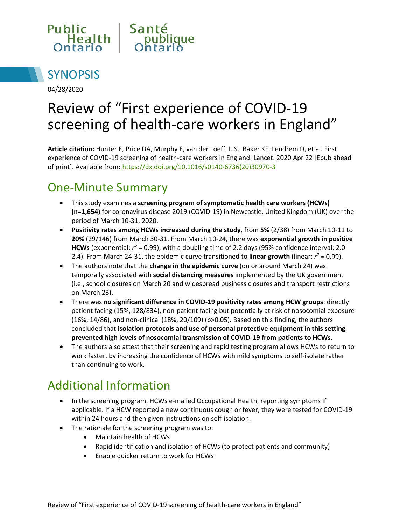



04/28/2020

# Review of "First experience of COVID-19 screening of health-care workers in England"

**Article citation:** Hunter E, Price DA, Murphy E, van der Loeff, I. S., Baker KF, Lendrem D, et al. First experience of COVID-19 screening of health-care workers in England. Lancet. 2020 Apr 22 [Epub ahead of print]. Available from: [https://dx.doi.org/10.1016/s0140-6736\(20\)30970-3](https://dx.doi.org/10.1016/s0140-6736(20)30970-3)

# One-Minute Summary

- This study examines a **screening program of symptomatic health care workers (HCWs) (n=1,654)** for coronavirus disease 2019 (COVID-19) in Newcastle, United Kingdom (UK) over the period of March 10-31, 2020.
- **Positivity rates among HCWs increased during the study**, from **5%** (2/38) from March 10-11 to **20%** (29/146) from March 30-31. From March 10-24, there was **exponential growth in positive HCWs** (exponential: *r <sup>2</sup>* = 0.99), with a doubling time of 2.2 days (95% confidence interval: 2.0- 2.4). From March 24-31, the epidemic curve transitioned to **linear growth** (linear:  $r^2$  = 0.99).
- The authors note that the **change in the epidemic curve** (on or around March 24) was temporally associated with **social distancing measures** implemented by the UK government (i.e., school closures on March 20 and widespread business closures and transport restrictions on March 23).
- There was **no significant difference in COVID-19 positivity rates among HCW groups**: directly patient facing (15%, 128/834), non-patient facing but potentially at risk of nosocomial exposure (16%, 14/86), and non-clinical (18%, 20/109) (p>0.05). Based on this finding, the authors concluded that **isolation protocols and use of personal protective equipment in this setting prevented high levels of nosocomial transmission of COVID-19 from patients to HCWs**.
- The authors also attest that their screening and rapid testing program allows HCWs to return to work faster, by increasing the confidence of HCWs with mild symptoms to self-isolate rather than continuing to work.

# Additional Information

- In the screening program, HCWs e-mailed Occupational Health, reporting symptoms if applicable. If a HCW reported a new continuous cough or fever, they were tested for COVID-19 within 24 hours and then given instructions on self-isolation.
- The rationale for the screening program was to:
	- Maintain health of HCWs
	- Rapid identification and isolation of HCWs (to protect patients and community)
	- Enable quicker return to work for HCWs